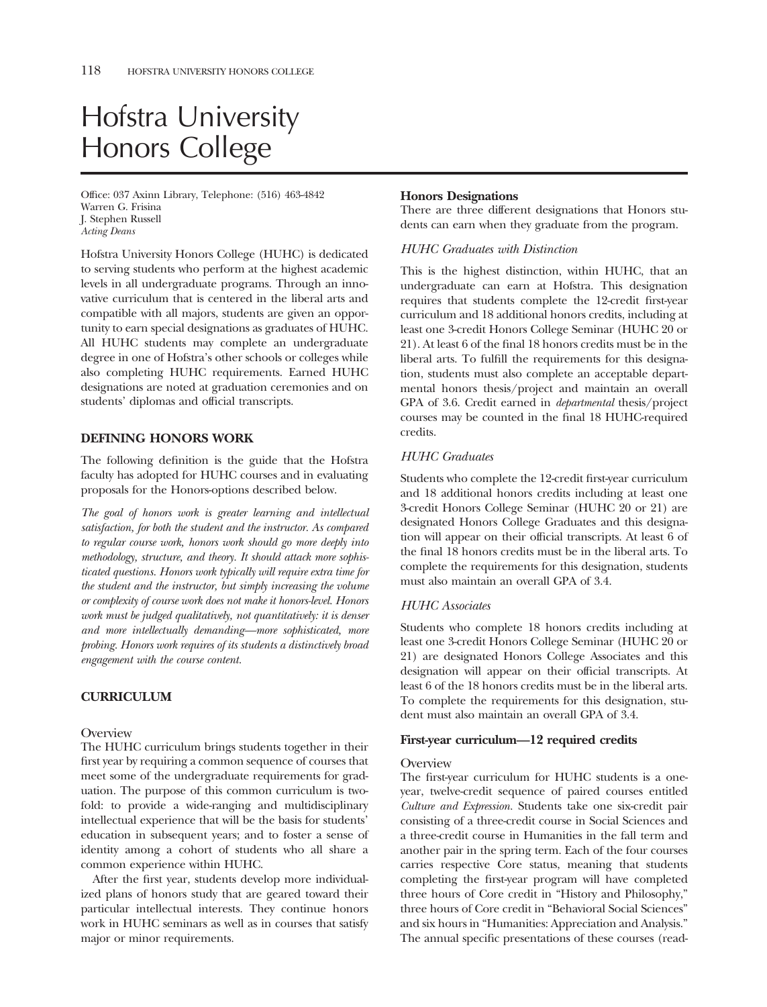# Hofstra University Honors College

Offce: 037 Axinn Library, Telephone: (516) 463-4842 Warren G. Frisina J. Stephen Russell *Acting Deans* 

Hofstra University Honors College (HUHC) is dedicated to serving students who perform at the highest academic levels in all undergraduate programs. Through an innovative curriculum that is centered in the liberal arts and compatible with all majors, students are given an opportunity to earn special designations as graduates of HUHC. All HUHC students may complete an undergraduate degree in one of Hofstra's other schools or colleges while also completing HUHC requirements. Earned HUHC designations are noted at graduation ceremonies and on students' diplomas and official transcripts.

## **DEFINING HONORS WORK**

The following defnition is the guide that the Hofstra faculty has adopted for HUHC courses and in evaluating proposals for the Honors-options described below.

*The goal of honors work is greater learning and intellectual satisfaction, for both the student and the instructor. As compared to regular course work, honors work should go more deeply into methodology, structure, and theory. It should attack more sophisticated questions. Honors work typically will require extra time for the student and the instructor, but simply increasing the volume or complexity of course work does not make it honors-level. Honors work must be judged qualitatively, not quantitatively: it is denser and more intellectually demanding—more sophisticated, more probing. Honors work requires of its students a distinctively broad engagement with the course content.* 

# **CURRICULUM**

**Overview** 

The HUHC curriculum brings students together in their frst year by requiring a common sequence of courses that meet some of the undergraduate requirements for graduation. The purpose of this common curriculum is twofold: to provide a wide-ranging and multidisciplinary intellectual experience that will be the basis for students' education in subsequent years; and to foster a sense of identity among a cohort of students who all share a common experience within HUHC.

After the frst year, students develop more individualized plans of honors study that are geared toward their particular intellectual interests. They continue honors work in HUHC seminars as well as in courses that satisfy major or minor requirements.

#### **Honors Designations**

There are three different designations that Honors students can earn when they graduate from the program.

## *HUHC Graduates with Distinction*

This is the highest distinction, within HUHC, that an undergraduate can earn at Hofstra. This designation requires that students complete the 12-credit frst-year curriculum and 18 additional honors credits, including at least one 3-credit Honors College Seminar (HUHC 20 or 21). At least 6 of the fnal 18 honors credits must be in the liberal arts. To fulfll the requirements for this designation, students must also complete an acceptable departmental honors thesis/project and maintain an overall GPA of 3.6. Credit earned in *departmental* thesis/project courses may be counted in the fnal 18 HUHC-required credits.

## *HUHC Graduates*

Students who complete the 12-credit frst-year curriculum and 18 additional honors credits including at least one 3-credit Honors College Seminar (HUHC 20 or 21) are designated Honors College Graduates and this designation will appear on their official transcripts. At least 6 of the fnal 18 honors credits must be in the liberal arts. To complete the requirements for this designation, students must also maintain an overall GPA of 3.4.

## *HUHC Associates*

Students who complete 18 honors credits including at least one 3-credit Honors College Seminar (HUHC 20 or 21) are designated Honors College Associates and this designation will appear on their official transcripts. At least 6 of the 18 honors credits must be in the liberal arts. To complete the requirements for this designation, student must also maintain an overall GPA of 3.4.

## **First-year curriculum—12 required credits**

#### **Overview**

The frst-year curriculum for HUHC students is a oneyear, twelve-credit sequence of paired courses entitled *Culture and Expression.* Students take one six-credit pair consisting of a three-credit course in Social Sciences and a three-credit course in Humanities in the fall term and another pair in the spring term. Each of the four courses carries respective Core status, meaning that students completing the frst-year program will have completed three hours of Core credit in "History and Philosophy," three hours of Core credit in "Behavioral Social Sciences" and six hours in "Humanities: Appreciation and Analysis." The annual specifc presentations of these courses (read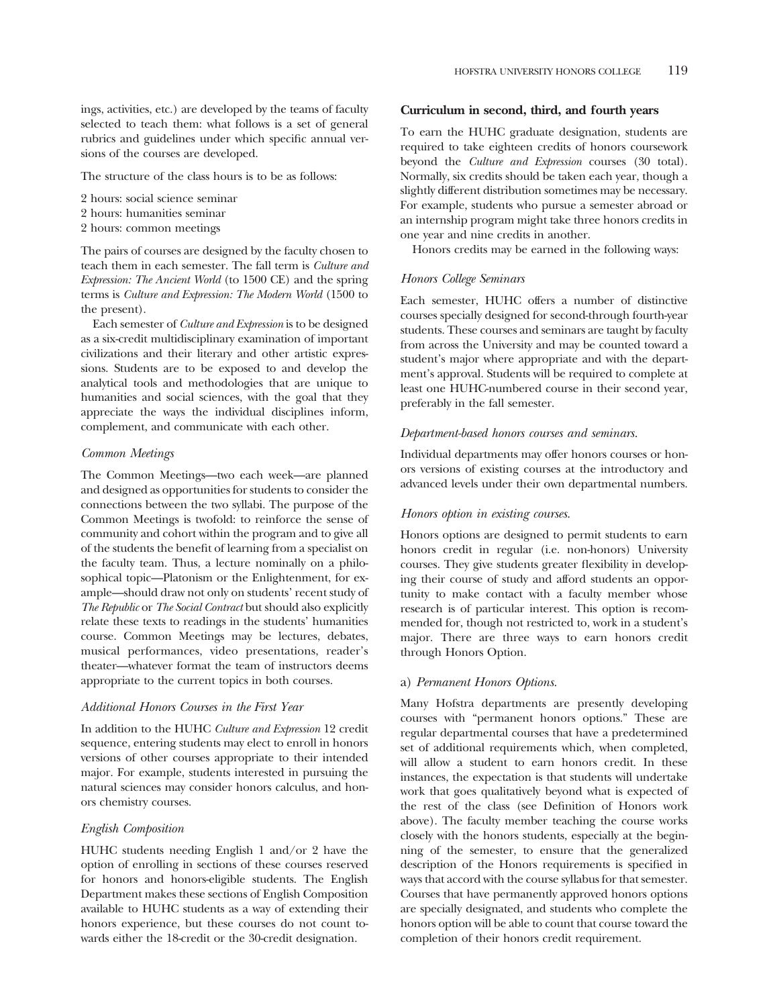ings, activities, etc.) are developed by the teams of faculty selected to teach them: what follows is a set of general rubrics and guidelines under which specifc annual versions of the courses are developed.

The structure of the class hours is to be as follows:

- 2 hours: social science seminar
- 2 hours: humanities seminar
- 2 hours: common meetings

The pairs of courses are designed by the faculty chosen to teach them in each semester. The fall term is *Culture and Expression: The Ancient World* (to 1500 CE) and the spring terms is *Culture and Expression: The Modern World* (1500 to the present).

Each semester of *Culture and Expression* is to be designed as a six-credit multidisciplinary examination of important civilizations and their literary and other artistic expressions. Students are to be exposed to and develop the analytical tools and methodologies that are unique to humanities and social sciences, with the goal that they appreciate the ways the individual disciplines inform, complement, and communicate with each other.

#### *Common Meetings*

The Common Meetings—two each week—are planned and designed as opportunities for students to consider the connections between the two syllabi. The purpose of the Common Meetings is twofold: to reinforce the sense of community and cohort within the program and to give all of the students the beneft of learning from a specialist on the faculty team. Thus, a lecture nominally on a philosophical topic—Platonism or the Enlightenment, for example—should draw not only on students' recent study of *The Republic* or *The Social Contract* but should also explicitly relate these texts to readings in the students' humanities course. Common Meetings may be lectures, debates, musical performances, video presentations, reader's theater—whatever format the team of instructors deems appropriate to the current topics in both courses.

#### *Additional Honors Courses in the First Year*

In addition to the HUHC *Culture and Expression* 12 credit sequence, entering students may elect to enroll in honors versions of other courses appropriate to their intended major. For example, students interested in pursuing the natural sciences may consider honors calculus, and honors chemistry courses.

#### *English Composition*

HUHC students needing English 1 and/or 2 have the option of enrolling in sections of these courses reserved for honors and honors-eligible students. The English Department makes these sections of English Composition available to HUHC students as a way of extending their honors experience, but these courses do not count towards either the 18-credit or the 30-credit designation.

#### **Curriculum in second, third, and fourth years**

To earn the HUHC graduate designation, students are required to take eighteen credits of honors coursework beyond the *Culture and Expression* courses (30 total). Normally, six credits should be taken each year, though a slightly different distribution sometimes may be necessary. For example, students who pursue a semester abroad or an internship program might take three honors credits in one year and nine credits in another.

Honors credits may be earned in the following ways:

#### *Honors College Seminars*

Each semester, HUHC offers a number of distinctive courses specially designed for second-through fourth-year students. These courses and seminars are taught by faculty from across the University and may be counted toward a student's major where appropriate and with the department's approval. Students will be required to complete at least one HUHC-numbered course in their second year, preferably in the fall semester.

#### *Department-based honors courses and seminars.*

Individual departments may offer honors courses or honors versions of existing courses at the introductory and advanced levels under their own departmental numbers.

#### *Honors option in existing courses.*

Honors options are designed to permit students to earn honors credit in regular (i.e. non-honors) University courses. They give students greater fexibility in developing their course of study and afford students an opportunity to make contact with a faculty member whose research is of particular interest. This option is recommended for, though not restricted to, work in a student's major. There are three ways to earn honors credit through Honors Option.

#### a) *Permanent Honors Options.*

Many Hofstra departments are presently developing courses with "permanent honors options." These are regular departmental courses that have a predetermined set of additional requirements which, when completed, will allow a student to earn honors credit. In these instances, the expectation is that students will undertake work that goes qualitatively beyond what is expected of the rest of the class (see Defnition of Honors work above). The faculty member teaching the course works closely with the honors students, especially at the beginning of the semester, to ensure that the generalized description of the Honors requirements is specifed in ways that accord with the course syllabus for that semester. Courses that have permanently approved honors options are specially designated, and students who complete the honors option will be able to count that course toward the completion of their honors credit requirement.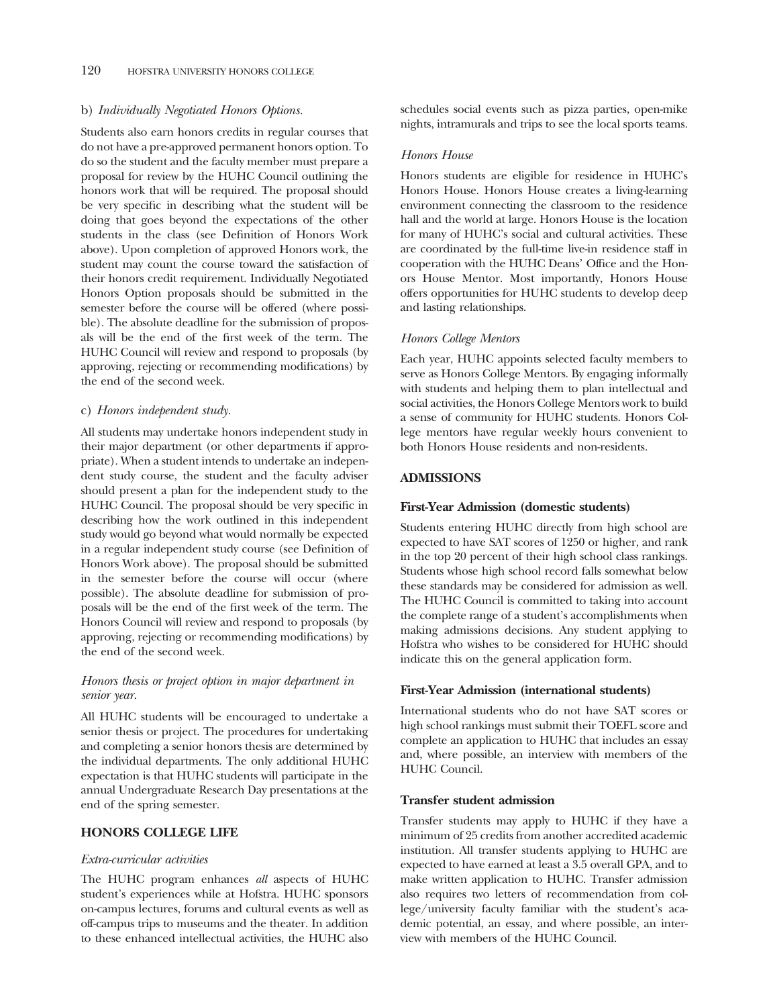## b) *Individually Negotiated Honors Options.*

Students also earn honors credits in regular courses that do not have a pre-approved permanent honors option. To do so the student and the faculty member must prepare a proposal for review by the HUHC Council outlining the honors work that will be required. The proposal should be very specifc in describing what the student will be doing that goes beyond the expectations of the other students in the class (see Defnition of Honors Work above). Upon completion of approved Honors work, the student may count the course toward the satisfaction of their honors credit requirement. Individually Negotiated Honors Option proposals should be submitted in the semester before the course will be offered (where possible). The absolute deadline for the submission of proposals will be the end of the frst week of the term. The HUHC Council will review and respond to proposals (by approving, rejecting or recommending modifcations) by the end of the second week.

## c) *Honors independent study.*

All students may undertake honors independent study in their major department (or other departments if appropriate). When a student intends to undertake an independent study course, the student and the faculty adviser should present a plan for the independent study to the HUHC Council. The proposal should be very specifc in describing how the work outlined in this independent study would go beyond what would normally be expected in a regular independent study course (see Defnition of Honors Work above). The proposal should be submitted in the semester before the course will occur (where possible). The absolute deadline for submission of proposals will be the end of the frst week of the term. The Honors Council will review and respond to proposals (by approving, rejecting or recommending modifcations) by the end of the second week.

# *Honors thesis or project option in major department in senior year.*

All HUHC students will be encouraged to undertake a senior thesis or project. The procedures for undertaking and completing a senior honors thesis are determined by the individual departments. The only additional HUHC expectation is that HUHC students will participate in the annual Undergraduate Research Day presentations at the end of the spring semester.

# **HONORS COLLEGE LIFE**

#### *Extra-curricular activities*

The HUHC program enhances *all* aspects of HUHC student's experiences while at Hofstra. HUHC sponsors on-campus lectures, forums and cultural events as well as off-campus trips to museums and the theater. In addition to these enhanced intellectual activities, the HUHC also

schedules social events such as pizza parties, open-mike nights, intramurals and trips to see the local sports teams.

#### *Honors House*

Honors students are eligible for residence in HUHC's Honors House. Honors House creates a living-learning environment connecting the classroom to the residence hall and the world at large. Honors House is the location for many of HUHC's social and cultural activities. These are coordinated by the full-time live-in residence staff in cooperation with the HUHC Deans' Office and the Honors House Mentor. Most importantly, Honors House offers opportunities for HUHC students to develop deep and lasting relationships.

## *Honors College Mentors*

Each year, HUHC appoints selected faculty members to serve as Honors College Mentors. By engaging informally with students and helping them to plan intellectual and social activities, the Honors College Mentors work to build a sense of community for HUHC students. Honors College mentors have regular weekly hours convenient to both Honors House residents and non-residents.

# **ADMISSIONS**

#### **First-Year Admission (domestic students)**

Students entering HUHC directly from high school are expected to have SAT scores of 1250 or higher, and rank in the top 20 percent of their high school class rankings. Students whose high school record falls somewhat below these standards may be considered for admission as well. The HUHC Council is committed to taking into account the complete range of a student's accomplishments when making admissions decisions. Any student applying to Hofstra who wishes to be considered for HUHC should indicate this on the general application form.

#### **First-Year Admission (international students)**

International students who do not have SAT scores or high school rankings must submit their TOEFL score and complete an application to HUHC that includes an essay and, where possible, an interview with members of the HUHC Council.

#### **Transfer student admission**

Transfer students may apply to HUHC if they have a minimum of 25 credits from another accredited academic institution. All transfer students applying to HUHC are expected to have earned at least a 3.5 overall GPA, and to make written application to HUHC. Transfer admission also requires two letters of recommendation from college/university faculty familiar with the student's academic potential, an essay, and where possible, an interview with members of the HUHC Council.